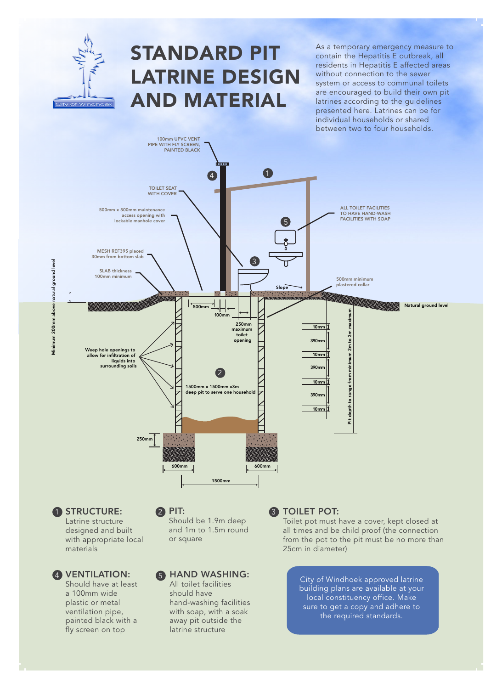

## STANDARD PIT LATRINE DESIGN AND MATERIAL

As a temporary emergency measure to contain the Hepatitis E outbreak, all residents in Hepatitis E affected areas without connection to the sewer system or access to communal toilets are encouraged to build their own pit latrines according to the guidelines presented here. Latrines can be for individual households or shared between two to four households.